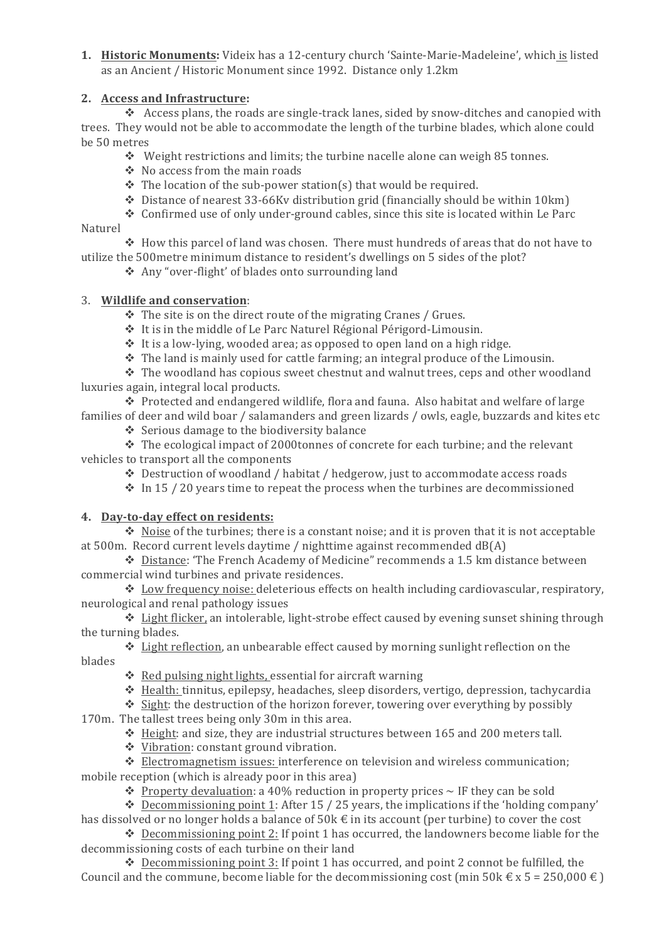1. Historic Monuments: Videix has a 12-century church 'Sainte-Marie-Madeleine', which is listed as an Ancient / Historic Monument since 1992. Distance only 1.2km

## **2.** Access and Infrastructure:

 $\cdot$  Access plans, the roads are single-track lanes, sided by snow-ditches and canopied with trees. They would not be able to accommodate the length of the turbine blades, which alone could be 50 metres 

- $\cdot$  Weight restrictions and limits; the turbine nacelle alone can weigh 85 tonnes.
- $\div$  No access from the main roads
- $\cdot$  The location of the sub-power station(s) that would be required.
- $\div$  Distance of nearest 33-66Kv distribution grid (financially should be within 10km)
- \* Confirmed use of only under-ground cables, since this site is located within Le Parc

### Naturel

 $\div$  How this parcel of land was chosen. There must hundreds of areas that do not have to utilize the 500 metre minimum distance to resident's dwellings on 5 sides of the plot?

❖ Any "over-flight' of blades onto surrounding land

## 3. **Wildlife and conservation:**

 $\cdot$  The site is on the direct route of the migrating Cranes / Grues.

- $\cdot$  It is in the middle of Le Parc Naturel Régional Périgord-Limousin.
- $\cdot$  It is a low-lying, wooded area; as opposed to open land on a high ridge.
- $\div$  The land is mainly used for cattle farming; an integral produce of the Limousin.

 $\div$  The woodland has copious sweet chestnut and walnut trees, ceps and other woodland luxuries again, integral local products.

 $\cdot$  Protected and endangered wildlife, flora and fauna. Also habitat and welfare of large families of deer and wild boar / salamanders and green lizards / owls, eagle, buzzards and kites etc

 $\div$  Serious damage to the biodiversity balance

 $\cdot$  The ecological impact of 2000tonnes of concrete for each turbine; and the relevant vehicles to transport all the components

 $\bullet$  Destruction of woodland / habitat / hedgerow, just to accommodate access roads

 $\cdot$  In 15 / 20 years time to repeat the process when the turbines are decommissioned

### **4. Day-to-day effect on residents:**

 $\cdot$  Noise of the turbines; there is a constant noise; and it is proven that it is not acceptable at  $500$ m. Record current levels daytime / nighttime against recommended  $dB(A)$ 

\* Distance: 'The French Academy of Medicine" recommends a 1.5 km distance between commercial wind turbines and private residences.

 $\bullet$  Low frequency noise: deleterious effects on health including cardiovascular, respiratory, neurological and renal pathology issues

 $\cdot$  Light flicker, an intolerable, light-strobe effect caused by evening sunset shining through the turning blades.

 $\cdot$  Light reflection, an unbearable effect caused by morning sunlight reflection on the blades

- $\triangleleft$  Red pulsing night lights, essential for aircraft warning
- $\cdot$  Health: tinnitus, epilepsy, headaches, sleep disorders, vertigo, depression, tachycardia

 $\cdot$  Sight: the destruction of the horizon forever, towering over everything by possibly

170m. The tallest trees being only 30m in this area.

 $\cdot$  Height: and size, they are industrial structures between 165 and 200 meters tall.

 $\triangleq$  Vibration: constant ground vibration.

 $\div$  Electromagnetism issues: interference on television and wireless communication; mobile reception (which is already poor in this area)

• Property devaluation: a 40% reduction in property prices  $\sim$  IF they can be sold

 $\bullet$  Decommissioning point 1: After 15 / 25 years, the implications if the 'holding company' has dissolved or no longer holds a balance of  $50k \in \mathbb{N}$  in its account (per turbine) to cover the cost

 $\bullet$  Decommissioning point 2: If point 1 has occurred, the landowners become liable for the decommissioning costs of each turbine on their land

\* Decommissioning point 3: If point 1 has occurred, and point 2 connot be fulfilled, the Council and the commune, become liable for the decommissioning cost (min 50k  $\in$  x 5 = 250,000  $\in$ )